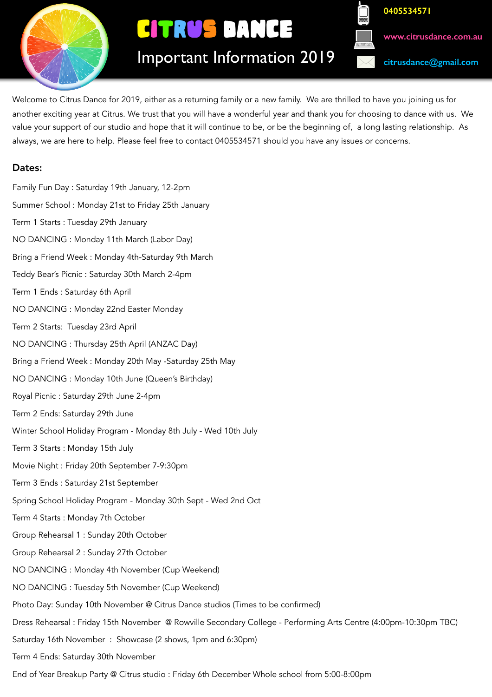

# CITRUS DANCE

**0405534571 [www.citrusdance.com.au](http://www.citrusdance.com.au) [citrusdance@gmail.com](mailto:citrusdance@gmail.com)**

Important Information 2019

Welcome to Citrus Dance for 2019, either as a returning family or a new family. We are thrilled to have you joining us for another exciting year at Citrus. We trust that you will have a wonderful year and thank you for choosing to dance with us. We value your support of our studio and hope that it will continue to be, or be the beginning of, a long lasting relationship. As always, we are here to help. Please feel free to contact 0405534571 should you have any issues or concerns.

# Dates:

Family Fun Day : Saturday 19th January, 12-2pm Summer School : Monday 21st to Friday 25th January Term 1 Starts : Tuesday 29th January NO DANCING : Monday 11th March (Labor Day) Bring a Friend Week : Monday 4th-Saturday 9th March Teddy Bear's Picnic : Saturday 30th March 2-4pm Term 1 Ends : Saturday 6th April NO DANCING : Monday 22nd Easter Monday Term 2 Starts: Tuesday 23rd April NO DANCING : Thursday 25th April (ANZAC Day) Bring a Friend Week : Monday 20th May -Saturday 25th May NO DANCING : Monday 10th June (Queen's Birthday) Royal Picnic : Saturday 29th June 2-4pm Term 2 Ends: Saturday 29th June Winter School Holiday Program - Monday 8th July - Wed 10th July Term 3 Starts : Monday 15th July Movie Night : Friday 20th September 7-9:30pm Term 3 Ends : Saturday 21st September Spring School Holiday Program - Monday 30th Sept - Wed 2nd Oct Term 4 Starts : Monday 7th October Group Rehearsal 1 : Sunday 20th October Group Rehearsal 2 : Sunday 27th October NO DANCING : Monday 4th November (Cup Weekend) NO DANCING : Tuesday 5th November (Cup Weekend) Photo Day: Sunday 10th November @ Citrus Dance studios (Times to be confirmed) Dress Rehearsal : Friday 15th November @ Rowville Secondary College - Performing Arts Centre (4:00pm-10:30pm TBC) Saturday 16th November : Showcase (2 shows, 1pm and 6:30pm) Term 4 Ends: Saturday 30th November End of Year Breakup Party @ Citrus studio : Friday 6th December Whole school from 5:00-8:00pm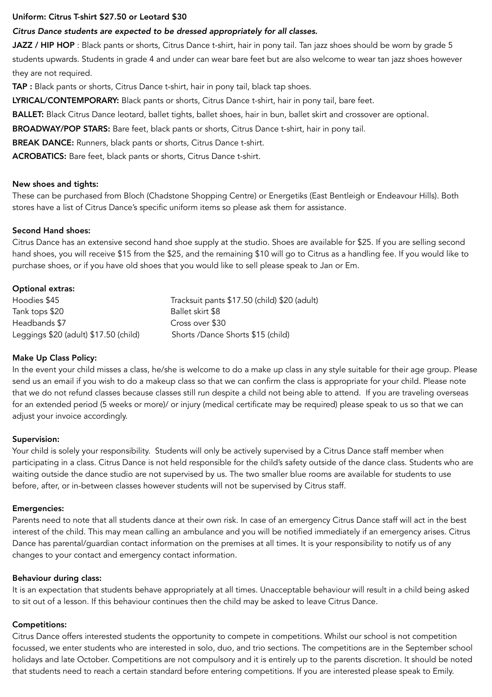# Uniform: Citrus T-shirt \$27.50 or Leotard \$30

# *Citrus Dance students are expected to be dressed appropriately for all classes.*

JAZZ / HIP HOP : Black pants or shorts, Citrus Dance t-shirt, hair in pony tail. Tan jazz shoes should be worn by grade 5 students upwards. Students in grade 4 and under can wear bare feet but are also welcome to wear tan jazz shoes however they are not required.

TAP : Black pants or shorts, Citrus Dance t-shirt, hair in pony tail, black tap shoes.

LYRICAL/CONTEMPORARY: Black pants or shorts, Citrus Dance t-shirt, hair in pony tail, bare feet.

BALLET: Black Citrus Dance leotard, ballet tights, ballet shoes, hair in bun, ballet skirt and crossover are optional.

BROADWAY/POP STARS: Bare feet, black pants or shorts, Citrus Dance t-shirt, hair in pony tail.

BREAK DANCE: Runners, black pants or shorts, Citrus Dance t-shirt.

ACROBATICS: Bare feet, black pants or shorts, Citrus Dance t-shirt.

#### New shoes and tights:

These can be purchased from Bloch (Chadstone Shopping Centre) or Energetiks (East Bentleigh or Endeavour Hills). Both stores have a list of Citrus Dance's specific uniform items so please ask them for assistance.

### Second Hand shoes:

Citrus Dance has an extensive second hand shoe supply at the studio. Shoes are available for \$25. If you are selling second hand shoes, you will receive \$15 from the \$25, and the remaining \$10 will go to Citrus as a handling fee. If you would like to purchase shoes, or if you have old shoes that you would like to sell please speak to Jan or Em.

# Optional extras:

| Hoodies \$45                          | Tracksuit pants \$17.50 (child) \$20 (adult) |
|---------------------------------------|----------------------------------------------|
| Tank tops \$20                        | Ballet skirt \$8                             |
| Headbands \$7                         | Cross over \$30                              |
| Leggings \$20 (adult) \$17.50 (child) | Shorts /Dance Shorts \$15 (child)            |

# Make Up Class Policy:

In the event your child misses a class, he/she is welcome to do a make up class in any style suitable for their age group. Please send us an email if you wish to do a makeup class so that we can confirm the class is appropriate for your child. Please note that we do not refund classes because classes still run despite a child not being able to attend. If you are traveling overseas for an extended period (5 weeks or more)/ or injury (medical certificate may be required) please speak to us so that we can adjust your invoice accordingly.

#### Supervision:

Your child is solely your responsibility. Students will only be actively supervised by a Citrus Dance staff member when participating in a class. Citrus Dance is not held responsible for the child's safety outside of the dance class. Students who are waiting outside the dance studio are not supervised by us. The two smaller blue rooms are available for students to use before, after, or in-between classes however students will not be supervised by Citrus staff.

#### Emergencies:

Parents need to note that all students dance at their own risk. In case of an emergency Citrus Dance staff will act in the best interest of the child. This may mean calling an ambulance and you will be notified immediately if an emergency arises. Citrus Dance has parental/guardian contact information on the premises at all times. It is your responsibility to notify us of any changes to your contact and emergency contact information.

#### Behaviour during class:

It is an expectation that students behave appropriately at all times. Unacceptable behaviour will result in a child being asked to sit out of a lesson. If this behaviour continues then the child may be asked to leave Citrus Dance.

# Competitions:

Citrus Dance offers interested students the opportunity to compete in competitions. Whilst our school is not competition focussed, we enter students who are interested in solo, duo, and trio sections. The competitions are in the September school holidays and late October. Competitions are not compulsory and it is entirely up to the parents discretion. It should be noted that students need to reach a certain standard before entering competitions. If you are interested please speak to Emily.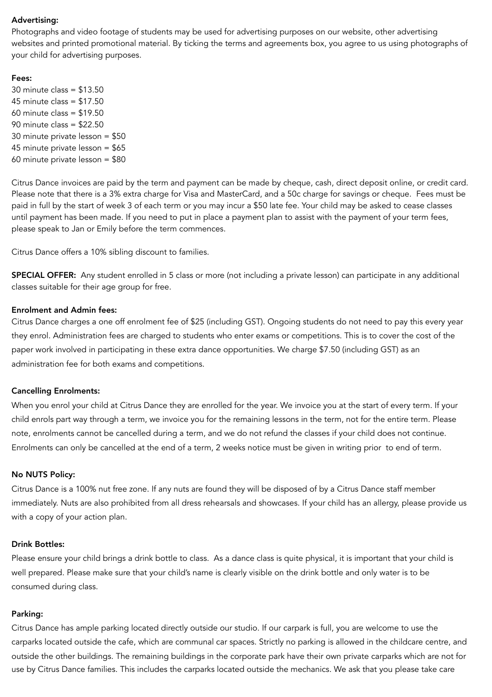### Advertising:

Photographs and video footage of students may be used for advertising purposes on our website, other advertising websites and printed promotional material. By ticking the terms and agreements box, you agree to us using photographs of your child for advertising purposes.

#### Fees:

30 minute class = \$13.50 45 minute class = \$17.50 60 minute class = \$19.50 90 minute class = \$22.50 30 minute private lesson = \$50 45 minute private lesson = \$65 60 minute private lesson = \$80

Citrus Dance invoices are paid by the term and payment can be made by cheque, cash, direct deposit online, or credit card. Please note that there is a 3% extra charge for Visa and MasterCard, and a 50c charge for savings or cheque. Fees must be paid in full by the start of week 3 of each term or you may incur a \$50 late fee. Your child may be asked to cease classes until payment has been made. If you need to put in place a payment plan to assist with the payment of your term fees, please speak to Jan or Emily before the term commences.

Citrus Dance offers a 10% sibling discount to families.

SPECIAL OFFER: Any student enrolled in 5 class or more (not including a private lesson) can participate in any additional classes suitable for their age group for free.

#### Enrolment and Admin fees:

Citrus Dance charges a one off enrolment fee of \$25 (including GST). Ongoing students do not need to pay this every year they enrol. Administration fees are charged to students who enter exams or competitions. This is to cover the cost of the paper work involved in participating in these extra dance opportunities. We charge \$7.50 (including GST) as an administration fee for both exams and competitions.

#### Cancelling Enrolments:

When you enrol your child at Citrus Dance they are enrolled for the year. We invoice you at the start of every term. If your child enrols part way through a term, we invoice you for the remaining lessons in the term, not for the entire term. Please note, enrolments cannot be cancelled during a term, and we do not refund the classes if your child does not continue. Enrolments can only be cancelled at the end of a term, 2 weeks notice must be given in writing prior to end of term.

### No NUTS Policy:

Citrus Dance is a 100% nut free zone. If any nuts are found they will be disposed of by a Citrus Dance staff member immediately. Nuts are also prohibited from all dress rehearsals and showcases. If your child has an allergy, please provide us with a copy of your action plan.

#### Drink Bottles:

Please ensure your child brings a drink bottle to class. As a dance class is quite physical, it is important that your child is well prepared. Please make sure that your child's name is clearly visible on the drink bottle and only water is to be consumed during class.

# Parking:

Citrus Dance has ample parking located directly outside our studio. If our carpark is full, you are welcome to use the carparks located outside the cafe, which are communal car spaces. Strictly no parking is allowed in the childcare centre, and outside the other buildings. The remaining buildings in the corporate park have their own private carparks which are not for use by Citrus Dance families. This includes the carparks located outside the mechanics. We ask that you please take care